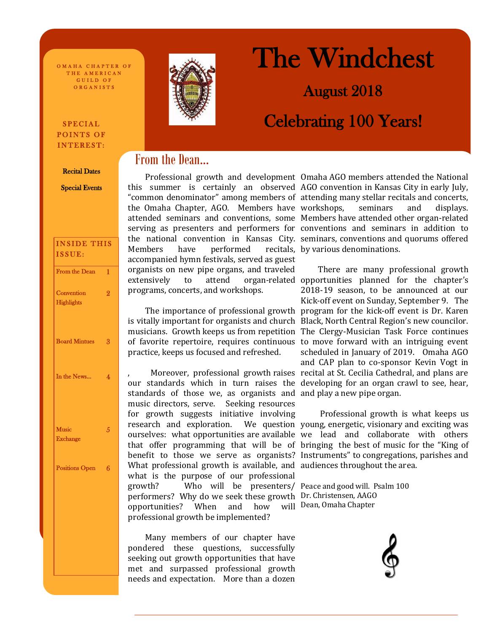O MAHA CHAPTER OF THE AMERICAN GUILD OF ORGANISTS

# SPECIAL POINTS OF INTEREST:

#### Recital Dates

Special Events

| <b>INSIDE THIS</b><br>ISSUE:    |                |
|---------------------------------|----------------|
| From the Dean                   | 1              |
| Convention<br><b>Highlights</b> | $\overline{2}$ |
| <b>Board Mintues</b>            | 3              |
| In the News                     | 4              |
| <b>Music</b><br><b>Exchange</b> | 5              |
| <b>Positions Open</b>           | 6              |
|                                 |                |
|                                 |                |
|                                 |                |



# The Windchest

August 2018

# Celebrating 100 Years!

# From the Dean...

 Professional growth and development Omaha AGO members attended the National this summer is certainly an observed AGO convention in Kansas City in early July, "common denominator" among members of attending many stellar recitals and concerts, the Omaha Chapter, AGO. Members have workshops, seminars and displays. attended seminars and conventions, some Members have attended other organ-related serving as presenters and performers for conventions and seminars in addition to the national convention in Kansas City. seminars, conventions and quorums offered Members have performed accompanied hymn festivals, served as guest organists on new pipe organs, and traveled extensively to attend organ-related opportunities planned for the chapter's programs, concerts, and workshops.

is vitally important for organists and church Black, North Central Region's new councilor. musicians. Growth keeps us from repetition The Clergy-Musician Task Force continues of favorite repertoire, requires continuous to move forward with an intriguing event practice, keeps us focused and refreshed.

our standards which in turn raises the developing for an organ crawl to see, hear, standards of those we, as organists and and play a new pipe organ. music directors, serve. Seeking resources for growth suggests initiative involving research and exploration. ourselves: what opportunities are available we lead and collaborate with others that offer programming that will be of bringing the best of music for the "King of benefit to those we serve as organists? Instruments" to congregations, parishes and What professional growth is available, and audiences throughout the area. what is the purpose of our professional growth? Who will be presenters/ Peace and good will. Psalm 100 performers? Why do we seek these growth Dr. Christensen, AAGO opportunities? When and how professional growth be implemented?

 Many members of our chapter have pondered these questions, successfully seeking out growth opportunities that have met and surpassed professional growth needs and expectation. More than a dozen

recitals, by various denominations.

 The importance of professional growth program for the kick-off event is Dr. Karen , Moreover, professional growth raises recital at St. Cecilia Cathedral, and plans are There are many professional growth 2018-19 season, to be announced at our Kick-off event on Sunday, September 9. The scheduled in January of 2019. Omaha AGO and CAP plan to co-sponsor Kevin Vogt in

> Professional growth is what keeps us We question young, energetic, visionary and exciting was

> > will Dean, Omaha Chapter

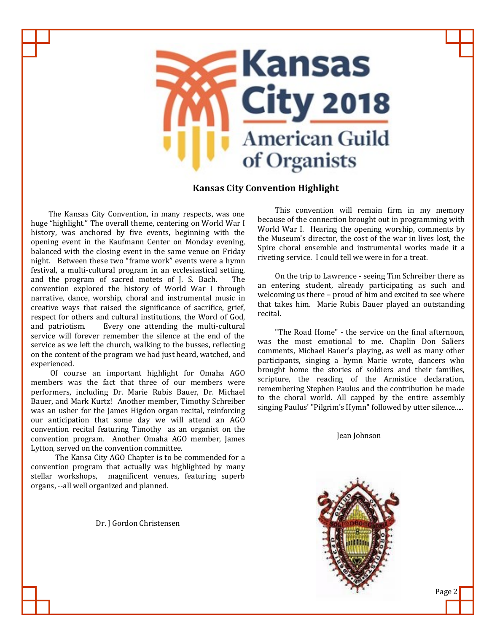

# **Kansas City Convention Highlight**

 The Kansas City Convention, in many respects, was one huge "highlight." The overall theme, centering on World War I history, was anchored by five events, beginning with the opening event in the Kaufmann Center on Monday evening, balanced with the closing event in the same venue on Friday night. Between these two "frame work" events were a hymn festival, a multi-cultural program in an ecclesiastical setting, and the program of sacred motets of J. S. Bach. The convention explored the history of World War I through narrative, dance, worship, choral and instrumental music in creative ways that raised the significance of sacrifice, grief, respect for others and cultural institutions, the Word of God, and patriotism. Every one attending the multi-cultural service will forever remember the silence at the end of the service as we left the church, walking to the busses, reflecting on the content of the program we had just heard, watched, and experienced.

 Of course an important highlight for Omaha AGO members was the fact that three of our members were performers, including Dr. Marie Rubis Bauer, Dr. Michael Bauer, and Mark Kurtz! Another member, Timothy Schreiber was an usher for the James Higdon organ recital, reinforcing our anticipation that some day we will attend an AGO convention recital featuring Timothy as an organist on the convention program. Another Omaha AGO member, James Lytton, served on the convention committee.

 The Kansa City AGO Chapter is to be commended for a convention program that actually was highlighted by many stellar workshops, magnificent venues, featuring superb organs, --all well organized and planned.

Dr. J Gordon Christensen

 This convention will remain firm in my memory because of the connection brought out in programming with World War I. Hearing the opening worship, comments by the Museum's director, the cost of the war in lives lost, the Spire choral ensemble and instrumental works made it a riveting service. I could tell we were in for a treat.

 On the trip to Lawrence - seeing Tim Schreiber there as an entering student, already participating as such and welcoming us there – proud of him and excited to see where that takes him. Marie Rubis Bauer played an outstanding recital.

 "The Road Home" - the service on the final afternoon, was the most emotional to me. Chaplin Don Saliers comments, Michael Bauer's playing, as well as many other participants, singing a hymn Marie wrote, dancers who brought home the stories of soldiers and their families, scripture, the reading of the Armistice declaration, remembering Stephen Paulus and the contribution he made to the choral world. All capped by the entire assembly singing Paulus' "Pilgrim's Hymn" followed by utter silence.....

Jean Johnson



Page 2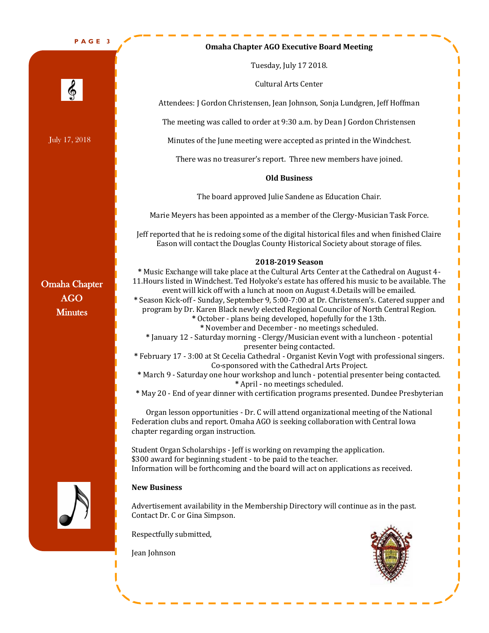**P A G E 3**

July 17, 2018

6

## **Omaha Chapter AGO Executive Board Meeting**

Tuesday, July 17 2018.

Cultural Arts Center

Attendees: J Gordon Christensen, Jean Johnson, Sonja Lundgren, Jeff Hoffman

The meeting was called to order at 9:30 a.m. by Dean J Gordon Christensen

Minutes of the June meeting were accepted as printed in the Windchest.

There was no treasurer's report. Three new members have joined.

# **Old Business**

The board approved Julie Sandene as Education Chair.

Marie Meyers has been appointed as a member of the Clergy-Musician Task Force.

Jeff reported that he is redoing some of the digital historical files and when finished Claire Eason will contact the Douglas County Historical Society about storage of files.

## **2018-2019 Season**

Omaha Chapter AGO **Minutes** 



# **\*** Music Exchange will take place at the Cultural Arts Center at the Cathedral on August 4- 11.Hours listed in Windchest. Ted Holyoke's estate has offered his music to be available. The event will kick off with a lunch at noon on August 4.Details will be emailed. **\*** Season Kick-off - Sunday, September 9, 5:00-7:00 at Dr. Christensen's. Catered supper and program by Dr. Karen Black newly elected Regional Councilor of North Central Region. **\*** October - plans being developed, hopefully for the 13th. **\*** November and December - no meetings scheduled.

- **\*** January 12 Saturday morning Clergy/Musician event with a luncheon potential presenter being contacted.
- **\*** February 17 3:00 at St Cecelia Cathedral Organist Kevin Vogt with professional singers. Co-sponsored with the Cathedral Arts Project.
- **\*** March 9 Saturday one hour workshop and lunch potential presenter being contacted. **\*** April - no meetings scheduled.
- **\*** May 20 End of year dinner with certification programs presented. Dundee Presbyterian

Organ lesson opportunities - Dr. C will attend organizational meeting of the National Federation clubs and report. Omaha AGO is seeking collaboration with Central Iowa chapter regarding organ instruction.

Student Organ Scholarships - Jeff is working on revamping the application. \$300 award for beginning student - to be paid to the teacher. Information will be forthcoming and the board will act on applications as received.

# **New Business**

Advertisement availability in the Membership Directory will continue as in the past. Contact Dr. C or Gina Simpson.

Respectfully submitted,

Jean Johnson



Π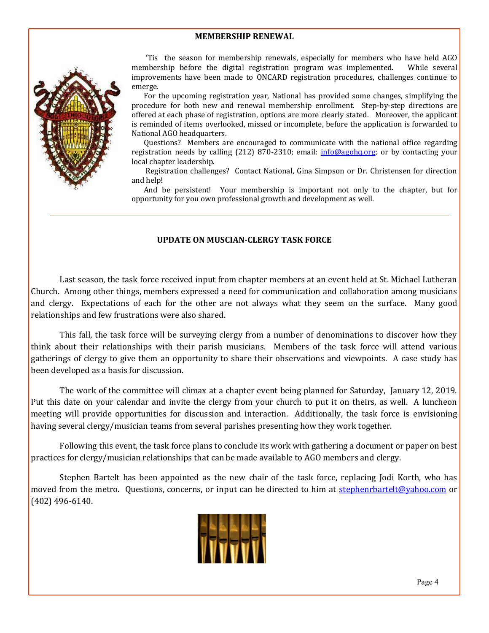# **MEMBERSHIP RENEWAL**



 'Tis the season for membership renewals, especially for members who have held AGO membership before the digital registration program was implemented. While several improvements have been made to ONCARD registration procedures, challenges continue to emerge.

 For the upcoming registration year, National has provided some changes, simplifying the procedure for both new and renewal membership enrollment. Step-by-step directions are offered at each phase of registration, options are more clearly stated. Moreover, the applicant is reminded of items overlooked, missed or incomplete, before the application is forwarded to National AGO headquarters.

 Questions? Members are encouraged to communicate with the national office regarding registration needs by calling (212) 870-2310; email: info@agohq.org; or by contacting your local chapter leadership.

 Registration challenges? Contact National, Gina Simpson or Dr. Christensen for direction and help!

 And be persistent! Your membership is important not only to the chapter, but for opportunity for you own professional growth and development as well.

# **UPDATE ON MUSCIAN-CLERGY TASK FORCE**

Last season, the task force received input from chapter members at an event held at St. Michael Lutheran Church. Among other things, members expressed a need for communication and collaboration among musicians and clergy. Expectations of each for the other are not always what they seem on the surface. Many good relationships and few frustrations were also shared.

This fall, the task force will be surveying clergy from a number of denominations to discover how they think about their relationships with their parish musicians. Members of the task force will attend various gatherings of clergy to give them an opportunity to share their observations and viewpoints. A case study has been developed as a basis for discussion.

The work of the committee will climax at a chapter event being planned for Saturday, January 12, 2019. Put this date on your calendar and invite the clergy from your church to put it on theirs, as well. A luncheon meeting will provide opportunities for discussion and interaction. Additionally, the task force is envisioning having several clergy/musician teams from several parishes presenting how they work together.

Following this event, the task force plans to conclude its work with gathering a document or paper on best practices for clergy/musician relationships that can be made available to AGO members and clergy.

Stephen Bartelt has been appointed as the new chair of the task force, replacing Jodi Korth, who has moved from the metro. Questions, concerns, or input can be directed to him at stephenrbartelt@yahoo.com or (402) 496-6140.

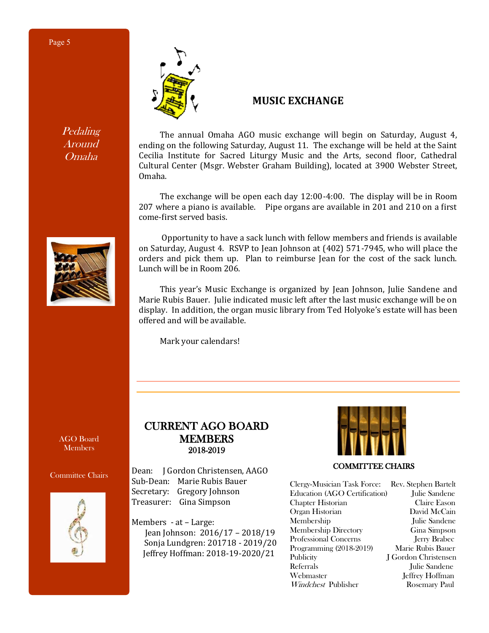Pedaling Around Omaha



# **MUSIC EXCHANGE**

 The annual Omaha AGO music exchange will begin on Saturday, August 4, ending on the following Saturday, August 11. The exchange will be held at the Saint Cecilia Institute for Sacred Liturgy Music and the Arts, second floor, Cathedral Cultural Center (Msgr. Webster Graham Building), located at 3900 Webster Street, Omaha.

 The exchange will be open each day 12:00-4:00. The display will be in Room 207 where a piano is available. Pipe organs are available in 201 and 210 on a first come-first served basis.

 Opportunity to have a sack lunch with fellow members and friends is available on Saturday, August 4. RSVP to Jean Johnson at (402) 571-7945, who will place the orders and pick them up. Plan to reimburse Jean for the cost of the sack lunch. Lunch will be in Room 206.

 This year's Music Exchange is organized by Jean Johnson, Julie Sandene and Marie Rubis Bauer. Julie indicated music left after the last music exchange will be on display. In addition, the organ music library from Ted Holyoke's estate will has been offered and will be available.

Mark your calendars!

AGO Board **Members** 

# Committee Chairs



# CURRENT AGO BOARD MEMBERS 2018-2019

Dean: J Gordon Christensen, AAGO Sub-Dean: Marie Rubis Bauer Secretary: Gregory Johnson Treasurer: Gina Simpson

Members - at – Large: Jean Johnson: 2016/17 – 2018/19 Sonja Lundgren: 201718 - 2019/20 Jeffrey Hoffman: 2018-19-2020/21



COMMITTEE CHAIRS

Clergy-Musician Task Force: Rev. Stephen Bartelt Education (AGO Certification) Julie Sandene Chapter Historian Claire Eason Organ Historian David McCain Membership Julie Sandene Membership Directory Gina Simpson Professional Concerns Jerry Brabec Programming (2018-2019) Marie Rubis Bauer Publicity J Gordon Christensen Referrals Julie Sandene Webmaster Jeffrey Hoffman Windchest Publisher Rosemary Paul